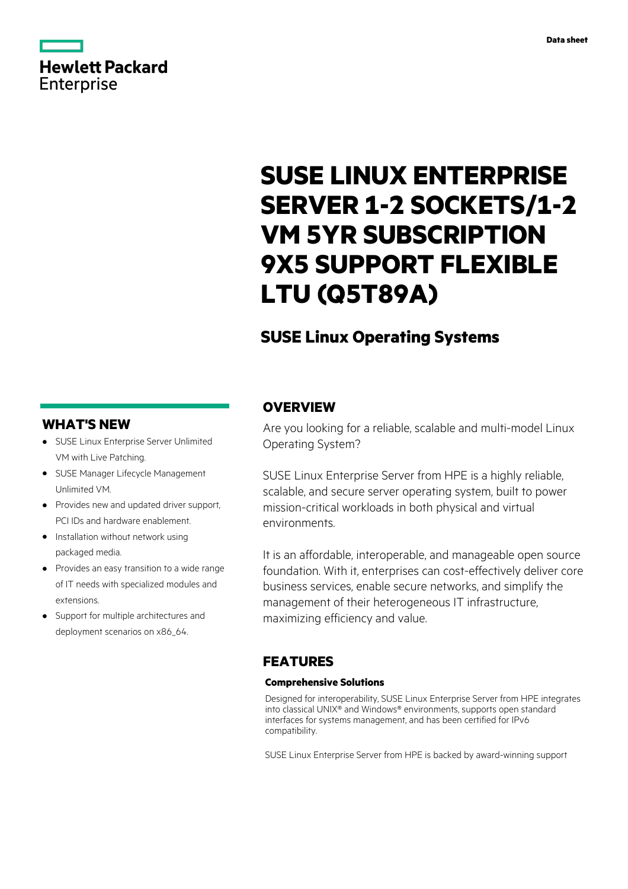# **Hewlett Packard** Enterprise

# **SUSE LINUX ENTERPRISE SERVER 1-2 SOCKETS/1-2 VM 5YR SUBSCRIPTION 9X5 SUPPORT FLEXIBLE LTU (Q5T89A)**

# **SUSE Linux Operating Systems**

## **WHAT'S NEW**

- **·** SUSE Linux Enterprise Server Unlimited VM with Live Patching.
- **·** SUSE Manager Lifecycle Management Unlimited VM.
- **·** Provides new and updated driver support, PCI IDs and hardware enablement.
- **·** Installation without network using packaged media.
- **·** Provides an easy transition to a wide range of IT needs with specialized modules and extensions.
- **·** Support for multiple architectures and deployment scenarios on x86\_64.

## **OVERVIEW**

Are you looking for a reliable, scalable and multi-model Linux Operating System?

SUSE Linux Enterprise Server from HPE is a highly reliable, scalable, and secure server operating system, built to power mission-critical workloads in both physical and virtual environments.

It is an affordable, interoperable, and manageable open source foundation. With it, enterprises can cost-effectively deliver core business services, enable secure networks, and simplify the management of their heterogeneous IT infrastructure, maximizing efficiency and value.

# **FEATURES**

### **Comprehensive Solutions**

Designed for interoperability, SUSE Linux Enterprise Server from HPE integrates into classical UNIX® and Windows® environments, supports open standard interfaces for systems management, and has been certified for IPv6 compatibility.

SUSE Linux Enterprise Server from HPE is backed by award-winning support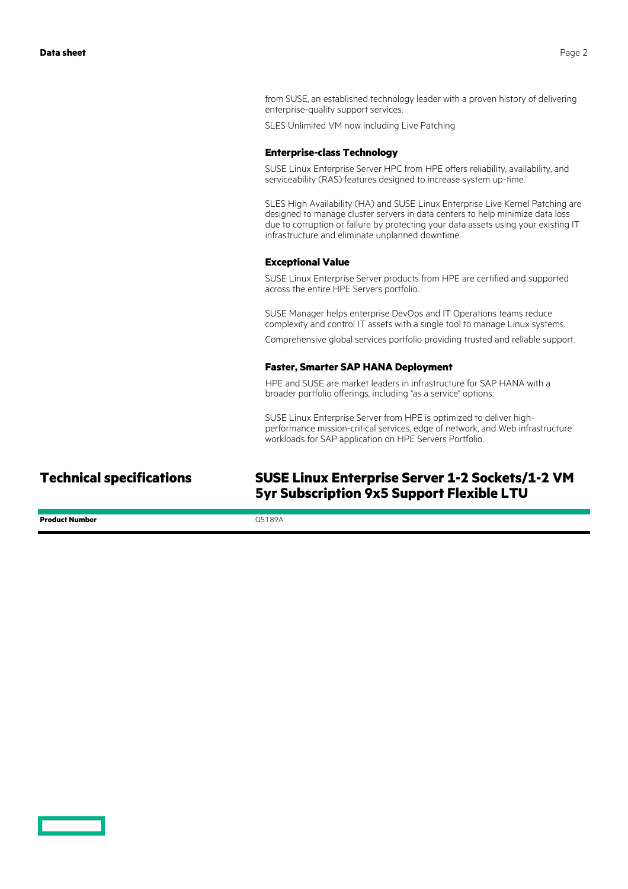from SUSE, an established technology leader with a proven history of delivering enterprise-quality support services.

SLES Unlimited VM now including Live Patching

#### **Enterprise-class Technology**

SUSE Linux Enterprise Server HPC from HPE offers reliability, availability, and serviceability (RAS) features designed to increase system up-time.

SLES High Availability (HA) and SUSE Linux Enterprise Live Kernel Patching are designed to manage cluster servers in data centers to help minimize data loss due to corruption or failure by protecting your data assets using your existing IT infrastructure and eliminate unplanned downtime.

#### **Exceptional Value**

SUSE Linux Enterprise Server products from HPE are certified and supported across the entire HPE Servers portfolio.

SUSE Manager helps enterprise DevOps and IT Operations teams reduce complexity and control IT assets with a single tool to manage Linux systems.

Comprehensive global services portfolio providing trusted and reliable support.

#### **Faster, Smarter SAP HANA Deployment**

HPE and SUSE are market leaders in infrastructure for SAP HANA with a broader portfolio offerings, including "as a service" options.

SUSE Linux Enterprise Server from HPE is optimized to deliver highperformance mission-critical services, edge of network, and Web infrastructure workloads for SAP application on HPE Servers Portfolio.

**Product Number** Q5T89A

**Technical specifications SUSE Linux Enterprise Server 1-2 Sockets/1-2 VM 5yr Subscription 9x5 Support Flexible LTU**